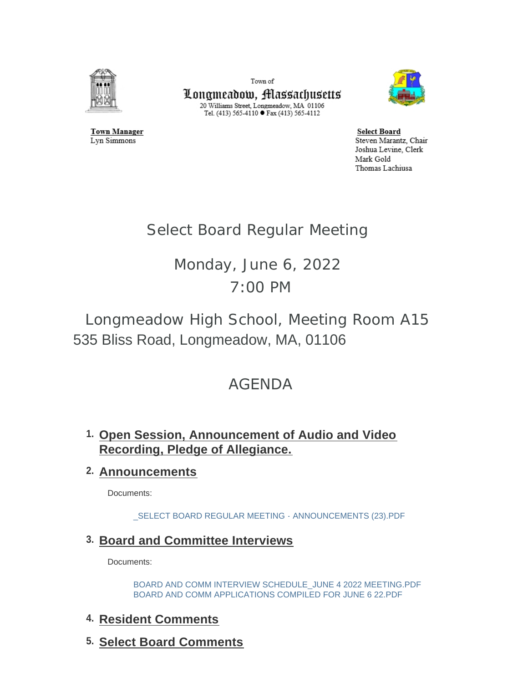

**Town Manager** 

Lyn Simmons

Town of Longmeadow, Massachusetts  $\begin{array}{c} \text{20 Williams Street, Longmeadow, MA$ 01106}\\ \text{Tel. (413) 565-4110}\bullet \text{Fax (413) 565-4112} \end{array}$ 



**Select Board** Steven Marantz, Chair Joshua Levine, Clerk Mark Gold Thomas Lachiusa

# Select Board Regular Meeting

# Monday, June 6, 2022 7:00 PM

# Longmeadow High School, Meeting Room A15 535 Bliss Road, Longmeadow, MA, 01106

# AGENDA

## **Open Session, Announcement of Audio and Video 1. Recording, Pledge of Allegiance.**

## **Announcements 2.**

Documents:

[\\_SELECT BOARD REGULAR MEETING - ANNOUNCEMENTS \(23\).PDF](https://www.longmeadow.org/AgendaCenter/ViewFile/Item/2345?fileID=23123)

## **Board and Committee Interviews 3.**

Documents:

[BOARD AND COMM INTERVIEW SCHEDULE\\_JUNE 4 2022 MEETING.PDF](https://www.longmeadow.org/AgendaCenter/ViewFile/Item/2381?fileID=23124) [BOARD AND COMM APPLICATIONS COMPILED FOR JUNE 6 22.PDF](https://www.longmeadow.org/AgendaCenter/ViewFile/Item/2381?fileID=23125)

## **Resident Comments 4.**

**Select Board Comments 5.**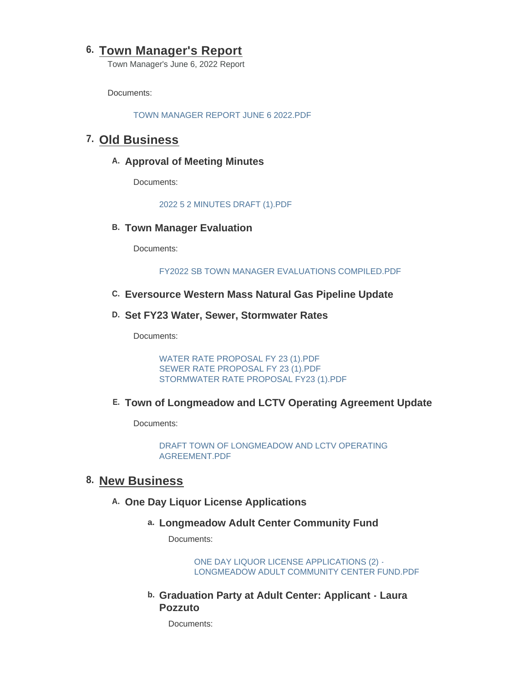### **Town Manager's Report 6.**

Town Manager's June 6, 2022 Report

Documents:

[TOWN MANAGER REPORT JUNE 6 2022.PDF](https://www.longmeadow.org/AgendaCenter/ViewFile/Item/2339?fileID=23128)

## **Old Business 7.**

#### A. Approval of Meeting Minutes

Documents:

[2022 5 2 MINUTES DRAFT \(1\).PDF](https://www.longmeadow.org/AgendaCenter/ViewFile/Item/2382?fileID=23127)

**B. Town Manager Evaluation** 

Documents:

[FY2022 SB TOWN MANAGER EVALUATIONS COMPILED.PDF](https://www.longmeadow.org/AgendaCenter/ViewFile/Item/1421?fileID=23122)

#### **Eversource Western Mass Natural Gas Pipeline Update C.**

#### **Set FY23 Water, Sewer, Stormwater Rates D.**

Documents:

[WATER RATE PROPOSAL FY 23 \(1\).PDF](https://www.longmeadow.org/AgendaCenter/ViewFile/Item/2385?fileID=23111) [SEWER RATE PROPOSAL FY 23 \(1\).PDF](https://www.longmeadow.org/AgendaCenter/ViewFile/Item/2385?fileID=23112) [STORMWATER RATE PROPOSAL FY23 \(1\).PDF](https://www.longmeadow.org/AgendaCenter/ViewFile/Item/2385?fileID=23113)

#### **Town of Longmeadow and LCTV Operating Agreement Update E.**

Documents:

[DRAFT TOWN OF LONGMEADOW AND LCTV OPERATING](https://www.longmeadow.org/AgendaCenter/ViewFile/Item/2386?fileID=23126)  AGREEMENT.PDF

### **New Business 8.**

#### **One Day Liquor License Applications A.**

#### **Longmeadow Adult Center Community Fund a.**

Documents:

ONE DAY LIQUOR LICENSE APPLICATIONS (2) - [LONGMEADOW ADULT COMMUNITY CENTER FUND.PDF](https://www.longmeadow.org/AgendaCenter/ViewFile/Item/2392?fileID=23115)

**Graduation Party at Adult Center: Applicant - Laura b. Pozzuto** 

Documents: